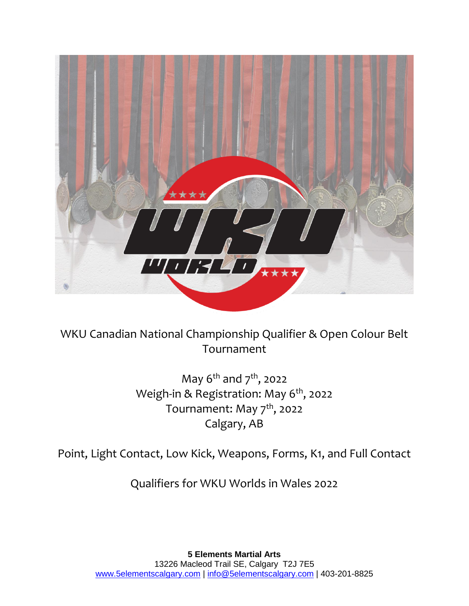

WKU Canadian National Championship Qualifier & Open Colour Belt Tournament

> May  $6^{th}$  and  $7^{th}$ , 2022 Weigh-in & Registration: May 6<sup>th</sup>, 2022 Tournament: May 7<sup>th</sup>, 2022 Calgary, AB

Point, Light Contact, Low Kick, Weapons, Forms, K1, and Full Contact

Qualifiers for WKU Worlds in Wales 2022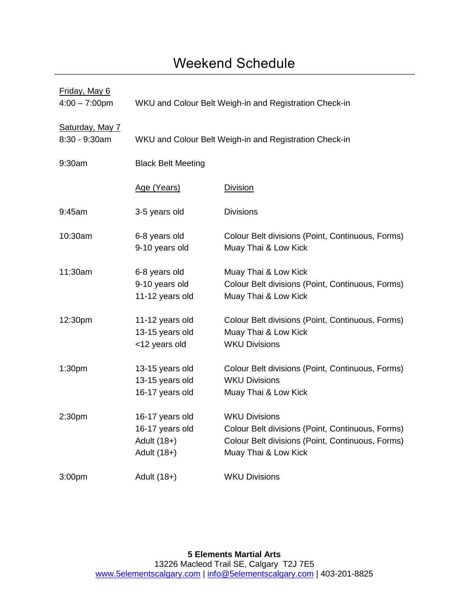# Weekend Schedule

| Friday, May 6<br>$4:00 - 7:00$ pm | WKU and Colour Belt Weigh-in and Registration Check-in               |                                                                                                                                                      |  |  |
|-----------------------------------|----------------------------------------------------------------------|------------------------------------------------------------------------------------------------------------------------------------------------------|--|--|
| Saturday, May 7<br>8:30 - 9:30am  |                                                                      | WKU and Colour Belt Weigh-in and Registration Check-in                                                                                               |  |  |
| 9:30am                            | <b>Black Belt Meeting</b>                                            |                                                                                                                                                      |  |  |
|                                   | Age (Years)                                                          | <b>Division</b>                                                                                                                                      |  |  |
| 9:45am                            | 3-5 years old                                                        | <b>Divisions</b>                                                                                                                                     |  |  |
| 10:30am                           | 6-8 years old<br>9-10 years old                                      | Colour Belt divisions (Point, Continuous, Forms)<br>Muay Thai & Low Kick                                                                             |  |  |
| 11:30am                           | 6-8 years old<br>9-10 years old<br>11-12 years old                   | Muay Thai & Low Kick<br>Colour Belt divisions (Point, Continuous, Forms)<br>Muay Thai & Low Kick                                                     |  |  |
| 12:30pm                           | 11-12 years old<br>13-15 years old<br><12 years old                  | Colour Belt divisions (Point, Continuous, Forms)<br>Muay Thai & Low Kick<br><b>WKU Divisions</b>                                                     |  |  |
| 1:30 <sub>pm</sub>                | 13-15 years old<br>13-15 years old<br>16-17 years old                | Colour Belt divisions (Point, Continuous, Forms)<br><b>WKU Divisions</b><br>Muay Thai & Low Kick                                                     |  |  |
| 2:30pm                            | 16-17 years old<br>16-17 years old<br>Adult $(18+)$<br>Adult $(18+)$ | <b>WKU Divisions</b><br>Colour Belt divisions (Point, Continuous, Forms)<br>Colour Belt divisions (Point, Continuous, Forms)<br>Muay Thai & Low Kick |  |  |
| 3:00 <sub>pm</sub>                | Adult $(18+)$                                                        | <b>WKU Divisions</b>                                                                                                                                 |  |  |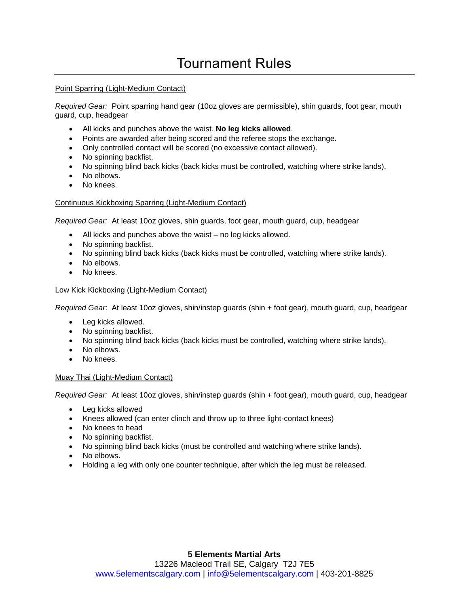# Tournament Rules

### Point Sparring (Light-Medium Contact)

*Required Gear:* Point sparring hand gear (10oz gloves are permissible), shin guards, foot gear, mouth guard, cup, headgear

- All kicks and punches above the waist. **No leg kicks allowed**.
- Points are awarded after being scored and the referee stops the exchange.
- Only controlled contact will be scored (no excessive contact allowed).
- No spinning backfist.
- No spinning blind back kicks (back kicks must be controlled, watching where strike lands).
- No elbows.
- No knees.

### Continuous Kickboxing Sparring (Light-Medium Contact)

*Required Gear:* At least 10oz gloves, shin guards, foot gear, mouth guard, cup, headgear

- All kicks and punches above the waist no leg kicks allowed.
- No spinning backfist.
- No spinning blind back kicks (back kicks must be controlled, watching where strike lands).
- No elbows.
- No knees.

### Low Kick Kickboxing (Light-Medium Contact)

*Required Gear*: At least 10oz gloves, shin/instep guards (shin + foot gear), mouth guard, cup, headgear

- Leg kicks allowed.
- No spinning backfist.
- No spinning blind back kicks (back kicks must be controlled, watching where strike lands).
- No elbows.
- No knees.

#### Muay Thai (Light-Medium Contact)

*Required Gear:* At least 10oz gloves, shin/instep guards (shin + foot gear), mouth guard, cup, headgear

- Leg kicks allowed
- Knees allowed (can enter clinch and throw up to three light-contact knees)
- No knees to head
- No spinning backfist.
- No spinning blind back kicks (must be controlled and watching where strike lands).
- No elbows.
- Holding a leg with only one counter technique, after which the leg must be released.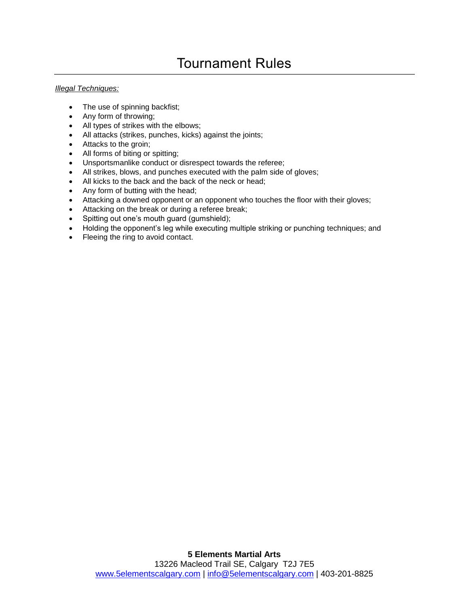# Tournament Rules

#### *Illegal Techniques:*

- The use of spinning backfist;
- Any form of throwing;
- All types of strikes with the elbows;
- All attacks (strikes, punches, kicks) against the joints;
- Attacks to the groin;
- All forms of biting or spitting;
- Unsportsmanlike conduct or disrespect towards the referee;
- All strikes, blows, and punches executed with the palm side of gloves;
- All kicks to the back and the back of the neck or head;
- Any form of butting with the head;
- Attacking a downed opponent or an opponent who touches the floor with their gloves;
- Attacking on the break or during a referee break;
- Spitting out one's mouth guard (gumshield);
- Holding the opponent's leg while executing multiple striking or punching techniques; and
- Fleeing the ring to avoid contact.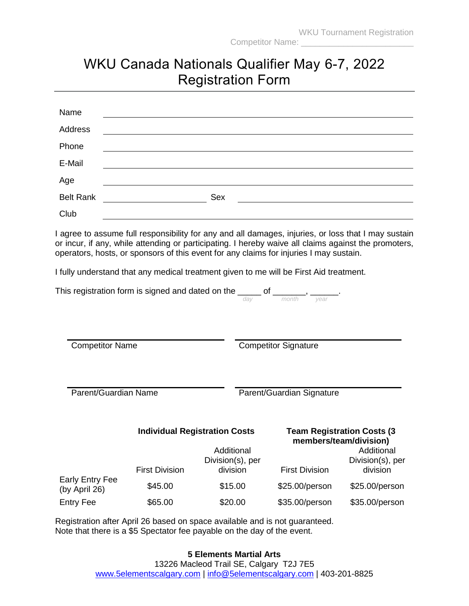# WKU Canada Nationals Qualifier May 6-7, 2022 Registration Form

| Name             |     |
|------------------|-----|
| Address          |     |
| Phone            |     |
| E-Mail           |     |
| Age              |     |
| <b>Belt Rank</b> | Sex |
| Club             |     |

I agree to assume full responsibility for any and all damages, injuries, or loss that I may sustain or incur, if any, while attending or participating. I hereby waive all claims against the promoters, operators, hosts, or sponsors of this event for any claims for injuries I may sustain.

I fully understand that any medical treatment given to me will be First Aid treatment.

| This registration form is signed and dated on the |     |            |  |
|---------------------------------------------------|-----|------------|--|
|                                                   | dav | month vear |  |

Competitor Name Competitor Signature

Parent/Guardian Name Parent/Guardian Signature

## **Individual Registration Costs Team Registration Costs (3**

# **members/team/division)**

|                                  | Additional<br>Division(s), per |          |                       | Additional<br>Division(s), per |
|----------------------------------|--------------------------------|----------|-----------------------|--------------------------------|
|                                  | <b>First Division</b>          | division | <b>First Division</b> | division                       |
| Early Entry Fee<br>(by April 26) | \$45.00                        | \$15.00  | \$25.00/person        | \$25.00/person                 |
| <b>Entry Fee</b>                 | \$65.00                        | \$20.00  | \$35.00/person        | \$35.00/person                 |

Registration after April 26 based on space available and is not guaranteed. Note that there is a \$5 Spectator fee payable on the day of the event.

## **5 Elements Martial Arts**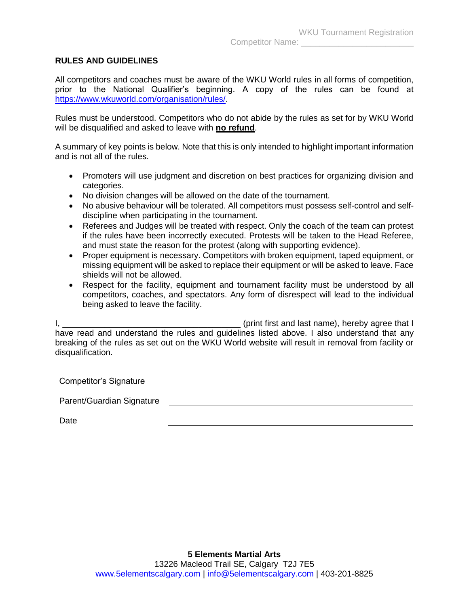## **RULES AND GUIDELINES**

All competitors and coaches must be aware of the WKU World rules in all forms of competition, prior to the National Qualifier's beginning. A copy of the rules can be found at [https://www.wkuworld.com/organisation/rules/.](https://www.wkuworld.com/organisation/rules/)

Rules must be understood. Competitors who do not abide by the rules as set for by WKU World will be disqualified and asked to leave with **no refund**.

A summary of key points is below. Note that this is only intended to highlight important information and is not all of the rules.

- Promoters will use judgment and discretion on best practices for organizing division and categories.
- No division changes will be allowed on the date of the tournament.
- No abusive behaviour will be tolerated. All competitors must possess self-control and selfdiscipline when participating in the tournament.
- Referees and Judges will be treated with respect. Only the coach of the team can protest if the rules have been incorrectly executed. Protests will be taken to the Head Referee, and must state the reason for the protest (along with supporting evidence).
- Proper equipment is necessary. Competitors with broken equipment, taped equipment, or missing equipment will be asked to replace their equipment or will be asked to leave. Face shields will not be allowed.
- Respect for the facility, equipment and tournament facility must be understood by all competitors, coaches, and spectators. Any form of disrespect will lead to the individual being asked to leave the facility.

I, \_\_\_\_\_\_\_\_\_\_\_\_\_\_\_\_\_\_\_\_\_\_\_\_\_\_\_\_\_\_\_\_\_\_\_\_\_\_ (print first and last name), hereby agree that I have read and understand the rules and guidelines listed above. I also understand that any breaking of the rules as set out on the WKU World website will result in removal from facility or disqualification.

Competitor's Signature 

Parent/Guardian Signature

Date<sub>b</sub>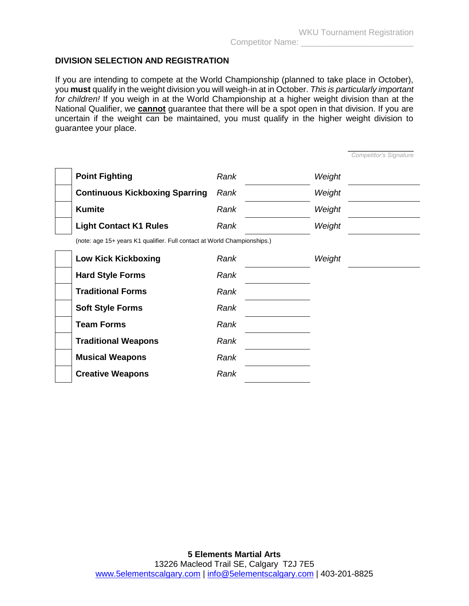\_\_\_\_\_\_\_\_\_\_\_\_\_\_

## **DIVISION SELECTION AND REGISTRATION**

If you are intending to compete at the World Championship (planned to take place in October), you **must** qualify in the weight division you will weigh-in at in October. *This is particularly important for children!* If you weigh in at the World Championship at a higher weight division than at the National Qualifier, we **cannot** guarantee that there will be a spot open in that division. If you are uncertain if the weight can be maintained, you must qualify in the higher weight division to guarantee your place.

|                                                                          |      |        | Competitor's Signature |
|--------------------------------------------------------------------------|------|--------|------------------------|
| <b>Point Fighting</b>                                                    | Rank | Weight |                        |
| <b>Continuous Kickboxing Sparring</b>                                    | Rank | Weight |                        |
| <b>Kumite</b>                                                            | Rank | Weight |                        |
| <b>Light Contact K1 Rules</b>                                            | Rank | Weight |                        |
| (note: age 15+ years K1 qualifier. Full contact at World Championships.) |      |        |                        |
| <b>Low Kick Kickboxing</b>                                               | Rank | Weight |                        |
| <b>Hard Style Forms</b>                                                  | Rank |        |                        |
| <b>Traditional Forms</b>                                                 | Rank |        |                        |
| <b>Soft Style Forms</b>                                                  | Rank |        |                        |
| <b>Team Forms</b>                                                        | Rank |        |                        |
| <b>Traditional Weapons</b>                                               | Rank |        |                        |
| <b>Musical Weapons</b>                                                   | Rank |        |                        |
| <b>Creative Weapons</b>                                                  | Rank |        |                        |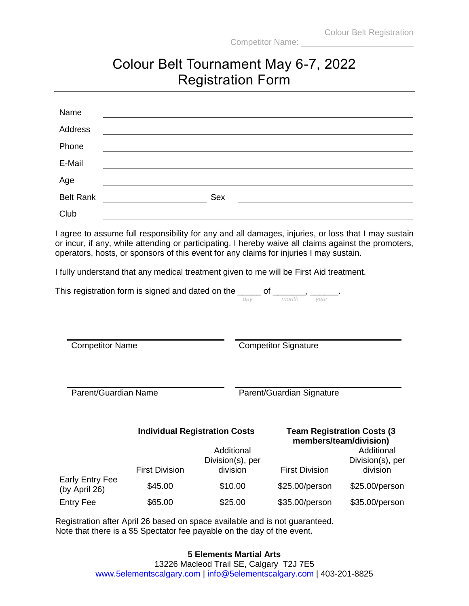# Colour Belt Tournament May 6-7, 2022 Registration Form

| Name             |     |
|------------------|-----|
| Address          |     |
| Phone            |     |
| E-Mail           |     |
| Age              |     |
| <b>Belt Rank</b> | Sex |
| Club             |     |

I agree to assume full responsibility for any and all damages, injuries, or loss that I may sustain or incur, if any, while attending or participating. I hereby waive all claims against the promoters, operators, hosts, or sponsors of this event for any claims for injuries I may sustain.

I fully understand that any medical treatment given to me will be First Aid treatment.

| This registration form is signed and dated on the |     |            |  |
|---------------------------------------------------|-----|------------|--|
|                                                   | dav | month vear |  |

Competitor Name Competitor Signature

Parent/Guardian Name Parent/Guardian Signature

### **Individual Registration Costs Team Registration Costs (3**

**members/team/division)**

|                                         | Additional<br>Division(s), per |          |                       | Additional<br>Division(s), per<br>division |
|-----------------------------------------|--------------------------------|----------|-----------------------|--------------------------------------------|
|                                         | <b>First Division</b>          | division | <b>First Division</b> |                                            |
| <b>Early Entry Fee</b><br>(by April 26) | \$45.00                        | \$10.00  | \$25.00/person        | \$25.00/person                             |
| <b>Entry Fee</b>                        | \$65.00                        | \$25.00  | \$35.00/person        | \$35.00/person                             |

Registration after April 26 based on space available and is not guaranteed. Note that there is a \$5 Spectator fee payable on the day of the event.

## **5 Elements Martial Arts**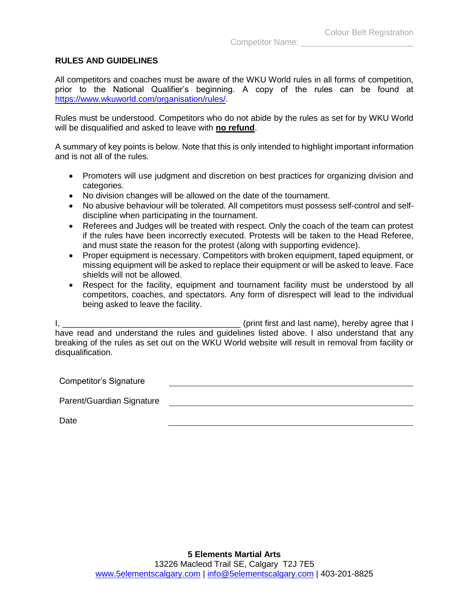### **RULES AND GUIDELINES**

All competitors and coaches must be aware of the WKU World rules in all forms of competition, prior to the National Qualifier's beginning. A copy of the rules can be found at [https://www.wkuworld.com/organisation/rules/.](https://www.wkuworld.com/organisation/rules/)

Rules must be understood. Competitors who do not abide by the rules as set for by WKU World will be disqualified and asked to leave with **no refund**.

A summary of key points is below. Note that this is only intended to highlight important information and is not all of the rules.

- Promoters will use judgment and discretion on best practices for organizing division and categories.
- No division changes will be allowed on the date of the tournament.
- No abusive behaviour will be tolerated. All competitors must possess self-control and selfdiscipline when participating in the tournament.
- Referees and Judges will be treated with respect. Only the coach of the team can protest if the rules have been incorrectly executed. Protests will be taken to the Head Referee, and must state the reason for the protest (along with supporting evidence).
- Proper equipment is necessary. Competitors with broken equipment, taped equipment, or missing equipment will be asked to replace their equipment or will be asked to leave. Face shields will not be allowed.
- Respect for the facility, equipment and tournament facility must be understood by all competitors, coaches, and spectators. Any form of disrespect will lead to the individual being asked to leave the facility.

I, \_\_\_\_\_\_\_\_\_\_\_\_\_\_\_\_\_\_\_\_\_\_\_\_\_\_\_\_\_\_\_\_\_\_\_\_\_\_ (print first and last name), hereby agree that I have read and understand the rules and guidelines listed above. I also understand that any breaking of the rules as set out on the WKU World website will result in removal from facility or disqualification.

Competitor's Signature 

Parent/Guardian Signature

Date<sub>b</sub>